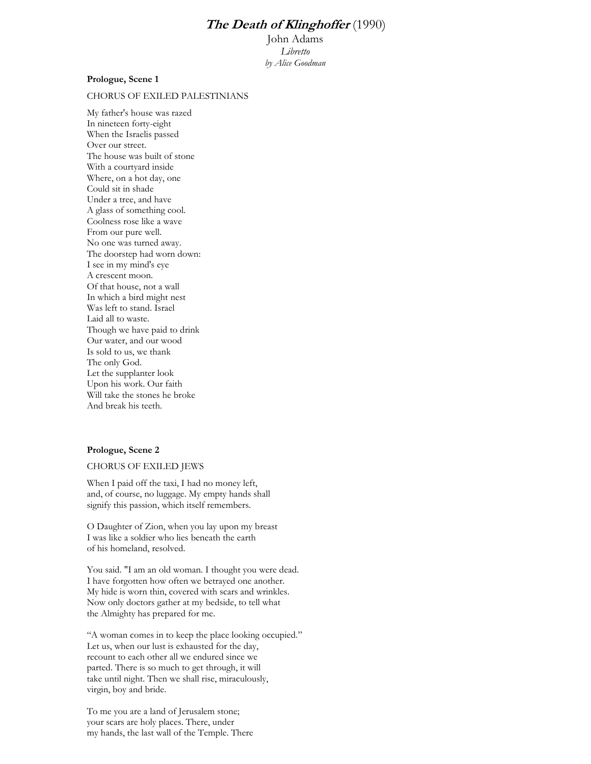# **The Death of Klinghoffer** (1990)

John Adams *Libretto by Alice Goodman*

# **Prologue, Scene 1**

# CHORUS OF EXILED PALESTINIANS

My father's house was razed In nineteen forty-eight When the Israelis passed Over our street. The house was built of stone With a courtyard inside Where, on a hot day, one Could sit in shade Under a tree, and have A glass of something cool. Coolness rose like a wave From our pure well. No one was turned away. The doorstep had worn down: I see in my mind's eye A crescent moon. Of that house, not a wall In which a bird might nest Was left to stand. Israel Laid all to waste. Though we have paid to drink Our water, and our wood Is sold to us, we thank The only God. Let the supplanter look Upon his work. Our faith Will take the stones he broke And break his teeth.

#### **Prologue, Scene 2**

CHORUS OF EXILED JEWS

When I paid off the taxi, I had no money left, and, of course, no luggage. My empty hands shall signify this passion, which itself remembers.

O Daughter of Zion, when you lay upon my breast I was like a soldier who lies beneath the earth of his homeland, resolved.

You said. "I am an old woman. I thought you were dead. I have forgotten how often we betrayed one another. My hide is worn thin, covered with scars and wrinkles. Now only doctors gather at my bedside, to tell what the Almighty has prepared for me.

"A woman comes in to keep the place looking occupied." Let us, when our lust is exhausted for the day, recount to each other all we endured since we parted. There is so much to get through, it will take until night. Then we shall rise, miraculously, virgin, boy and bride.

To me you are a land of Jerusalem stone; your scars are holy places. There, under my hands, the last wall of the Temple. There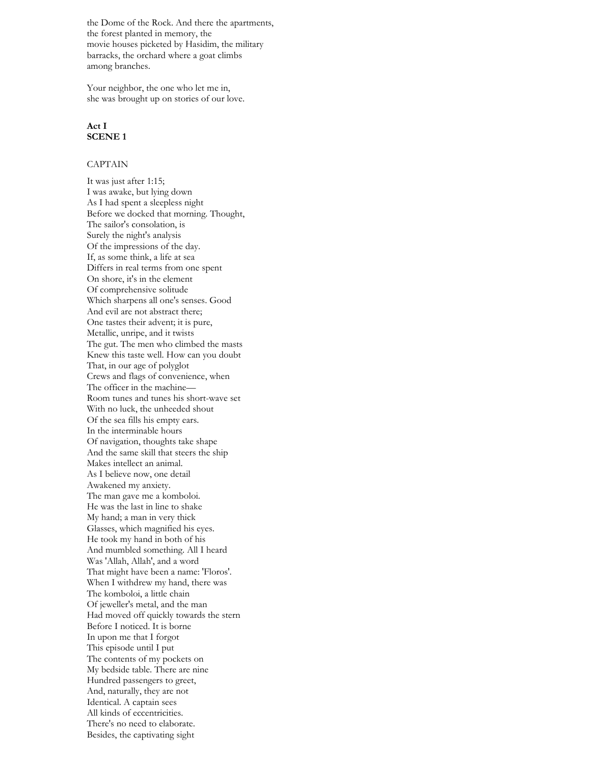the Dome of the Rock. And there the apartments, the forest planted in memory, the movie houses picketed by Hasidim, the military barracks, the orchard where a goat climbs among branches.

Your neighbor, the one who let me in, she was brought up on stories of our love.

# **Act I SCENE 1**

## CAPTAIN

It was just after 1:15; I was awake, but lying down As I had spent a sleepless night Before we docked that morning. Thought, The sailor's consolation, is Surely the night's analysis Of the impressions of the day. If, as some think, a life at sea Differs in real terms from one spent On shore, it's in the element Of comprehensive solitude Which sharpens all one's senses. Good And evil are not abstract there; One tastes their advent; it is pure, Metallic, unripe, and it twists The gut. The men who climbed the masts Knew this taste well. How can you doubt That, in our age of polyglot Crews and flags of convenience, when The officer in the machine— Room tunes and tunes his short-wave set With no luck, the unheeded shout Of the sea fills his empty ears. In the interminable hours Of navigation, thoughts take shape And the same skill that steers the ship Makes intellect an animal. As I believe now, one detail Awakened my anxiety. The man gave me a komboloi. He was the last in line to shake My hand; a man in very thick Glasses, which magnified his eyes. He took my hand in both of his And mumbled something. All I heard Was 'Allah, Allah', and a word That might have been a name: 'Floros'. When I withdrew my hand, there was The komboloi, a little chain Of jeweller's metal, and the man Had moved off quickly towards the stern Before I noticed. It is borne In upon me that I forgot This episode until I put The contents of my pockets on My bedside table. There are nine Hundred passengers to greet, And, naturally, they are not Identical. A captain sees All kinds of eccentricities. There's no need to elaborate. Besides, the captivating sight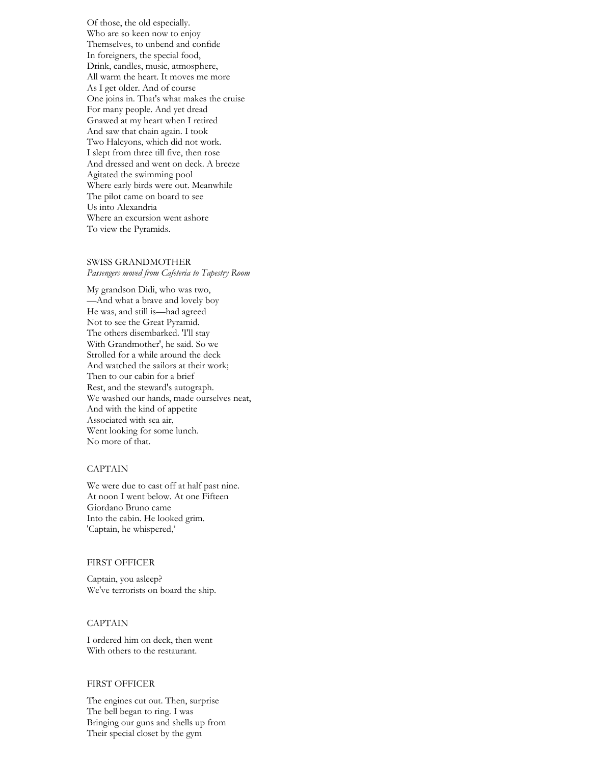Of those, the old especially. Who are so keen now to enjoy Themselves, to unbend and confide In foreigners, the special food, Drink, candles, music, atmosphere, All warm the heart. It moves me more As I get older. And of course One joins in. That's what makes the cruise For many people. And yet dread Gnawed at my heart when I retired And saw that chain again. I took Two Halcyons, which did not work. I slept from three till five, then rose And dressed and went on deck. A breeze Agitated the swimming pool Where early birds were out. Meanwhile The pilot came on board to see Us into Alexandria Where an excursion went ashore To view the Pyramids.

#### SWISS GRANDMOTHER

#### *Passengers moved from Cafeteria to Tapestry Room*

My grandson Didi, who was two, —And what a brave and lovely boy He was, and still is—had agreed Not to see the Great Pyramid. The others disembarked. 'I'll stay With Grandmother', he said. So we Strolled for a while around the deck And watched the sailors at their work; Then to our cabin for a brief Rest, and the steward's autograph. We washed our hands, made ourselves neat, And with the kind of appetite Associated with sea air, Went looking for some lunch. No more of that.

#### CAPTAIN

We were due to cast off at half past nine. At noon I went below. At one Fifteen Giordano Bruno came Into the cabin. He looked grim. 'Captain, he whispered,'

### FIRST OFFICER

Captain, you asleep? We've terrorists on board the ship.

### CAPTAIN

I ordered him on deck, then went With others to the restaurant.

### FIRST OFFICER

The engines cut out. Then, surprise The bell began to ring. I was Bringing our guns and shells up from Their special closet by the gym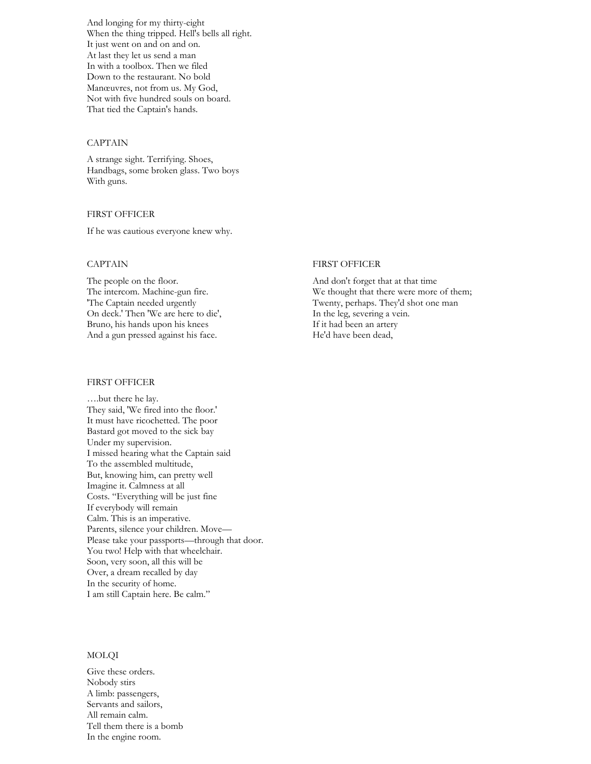And longing for my thirty-eight When the thing tripped. Hell's bells all right. It just went on and on and on. At last they let us send a man In with a toolbox. Then we filed Down to the restaurant. No bold Manœuvres, not from us. My God, Not with five hundred souls on board. That tied the Captain's hands.

### CAPTAIN

A strange sight. Terrifying. Shoes, Handbags, some broken glass. Two boys With guns.

#### FIRST OFFICER

If he was cautious everyone knew why.

#### CAPTAIN

The people on the floor. The intercom. Machine-gun fire. 'The Captain needed urgently On deck.' Then 'We are here to die', Bruno, his hands upon his knees And a gun pressed against his face.

#### FIRST OFFICER

….but there he lay. They said, 'We fired into the floor.' It must have ricochetted. The poor Bastard got moved to the sick bay Under my supervision. I missed hearing what the Captain said To the assembled multitude, But, knowing him, can pretty well Imagine it. Calmness at all Costs. "Everything will be just fine If everybody will remain Calm. This is an imperative. Parents, silence your children. Move— Please take your passports—through that door. You two! Help with that wheelchair. Soon, very soon, all this will be Over, a dream recalled by day In the security of home. I am still Captain here. Be calm."

#### MOLQI

Give these orders. Nobody stirs A limb: passengers, Servants and sailors, All remain calm. Tell them there is a bomb In the engine room.

### FIRST OFFICER

And don't forget that at that time We thought that there were more of them; Twenty, perhaps. They'd shot one man In the leg, severing a vein. If it had been an artery He'd have been dead,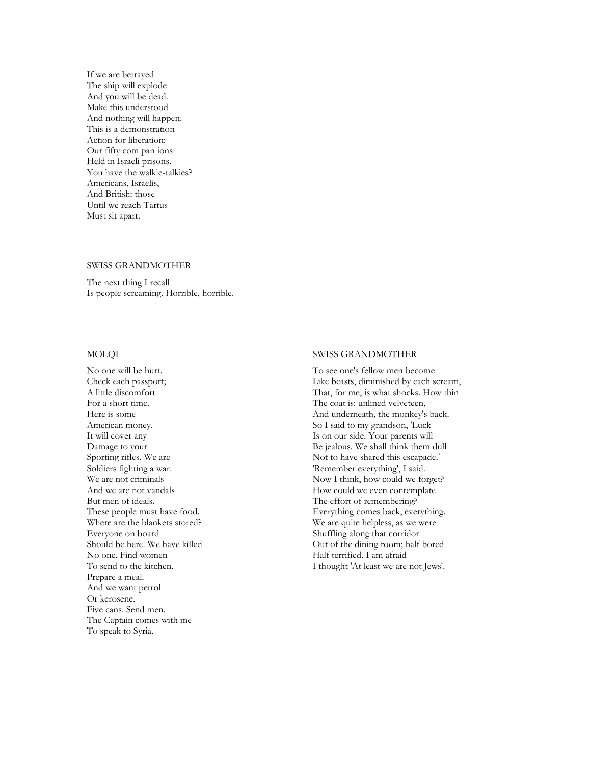If we are betrayed The ship will explode And you will be dead. Make this understood And nothing will happen. This is a demonstration Action for liberation: Our fifty com pan ions Held in Israeli prisons. You have the walkie-talkies? Americans, Israelis, And British: those Until we reach Tartus Must sit apart.

### SWISS GRANDMOTHER

The next thing I recall Is people screaming. Horrible, horrible.

#### MOLQI

No one will be hurt. Check each passport; A little discomfort For a short time. Here is some American money. It will cover any Damage to your Sporting rifles. We are Soldiers fighting a war. We are not criminals And we are not vandals But men of ideals. These people must have food. Where are the blankets stored? Everyone on board Should be here. We have killed No one. Find women To send to the kitchen. Prepare a meal. And we want petrol Or kerosene. Five cans. Send men. The Captain comes with me To speak to Syria.

#### SWISS GRANDMOTHER

To see one's fellow men become Like beasts, diminished by each scream, That, for me, is what shocks. How thin The coat is: unlined velveteen, And underneath, the monkey's back. So I said to my grandson, 'Luck Is on our side. Your parents will Be jealous. We shall think them dull Not to have shared this escapade.' 'Remember everything', I said. Now I think, how could we forget? How could we even contemplate The effort of remembering? Everything comes back, everything. We are quite helpless, as we were Shuffling along that corridor Out of the dining room; half bored Half terrified. I am afraid I thought 'At least we are not Jews'.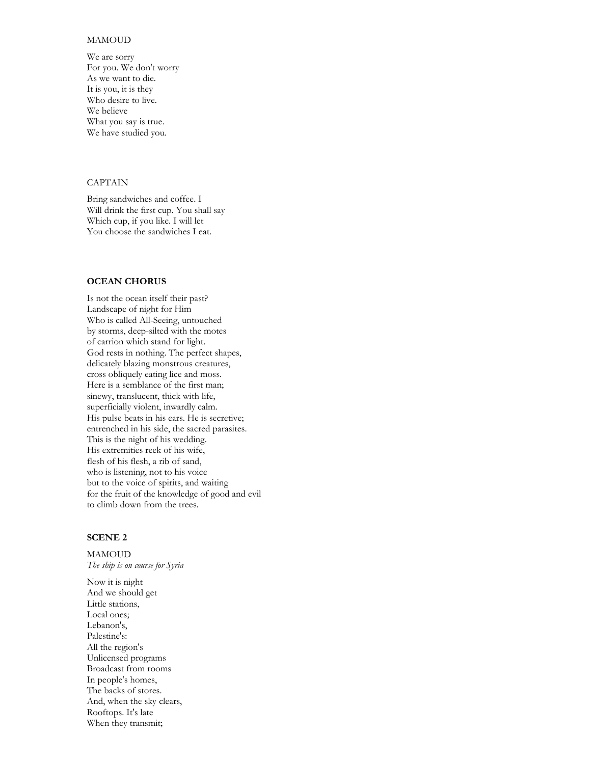## MAMOUD

We are sorry For you. We don't worry As we want to die. It is you, it is they Who desire to live. We believe What you say is true. We have studied you.

# CAPTAIN

Bring sandwiches and coffee. I Will drink the first cup. You shall say Which cup, if you like. I will let You choose the sandwiches I eat.

## **OCEAN CHORUS**

Is not the ocean itself their past? Landscape of night for Him Who is called All-Seeing, untouched by storms, deep-silted with the motes of carrion which stand for light. God rests in nothing. The perfect shapes, delicately blazing monstrous creatures, cross obliquely eating lice and moss. Here is a semblance of the first man; sinewy, translucent, thick with life, superficially violent, inwardly calm. His pulse beats in his ears. He is secretive; entrenched in his side, the sacred parasites. This is the night of his wedding. His extremities reek of his wife, flesh of his flesh, a rib of sand, who is listening, not to his voice but to the voice of spirits, and waiting for the fruit of the knowledge of good and evil to climb down from the trees.

#### **SCENE 2**

MAMOUD *The ship is on course for Syria*

Now it is night And we should get Little stations, Local ones; Lebanon's, Palestine's: All the region's Unlicensed programs Broadcast from rooms In people's homes, The backs of stores. And, when the sky clears, Rooftops. It's late When they transmit;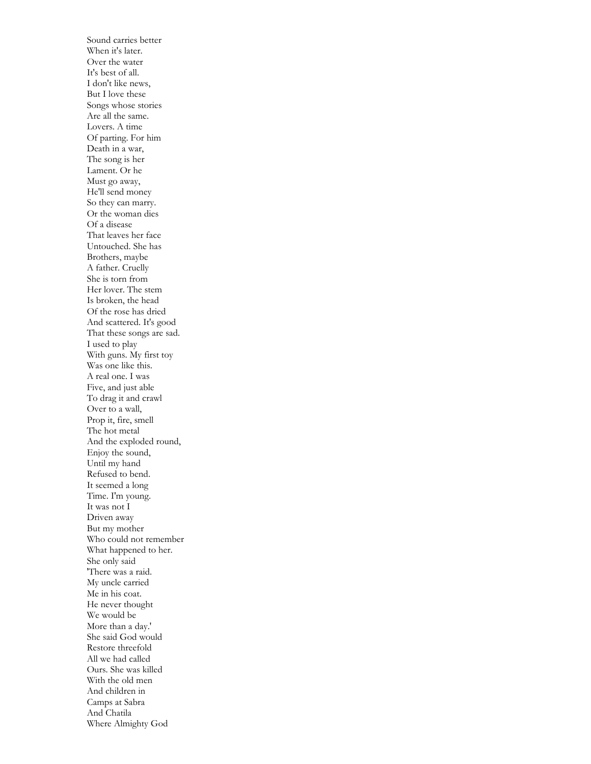Sound carries better When it's later. Over the water It's best of all. I don't like news, But I love these Songs whose stories Are all the same. Lovers. A time Of parting. For him Death in a war, The song is her Lament. Or he Must go away, He'll send money So they can marry. Or the woman dies Of a disease That leaves her face Untouched. She has Brothers, maybe A father. Cruelly She is torn from Her lover. The stem Is broken, the head Of the rose has dried And scattered. It's good That these songs are sad. I used to play With guns. My first toy Was one like this. A real one. I was Five, and just able To drag it and crawl Over to a wall, Prop it, fire, smell The hot metal And the exploded round, Enjoy the sound, Until my hand Refused to bend. It seemed a long Time. I'm young. It was not I Driven away But my mother Who could not remember What happened to her. She only said 'There was a raid. My uncle carried Me in his coat. He never thought We would be More than a day.' She said God would Restore threefold All we had called Ours. She was killed With the old men And children in Camps at Sabra And Chatila Where Almighty God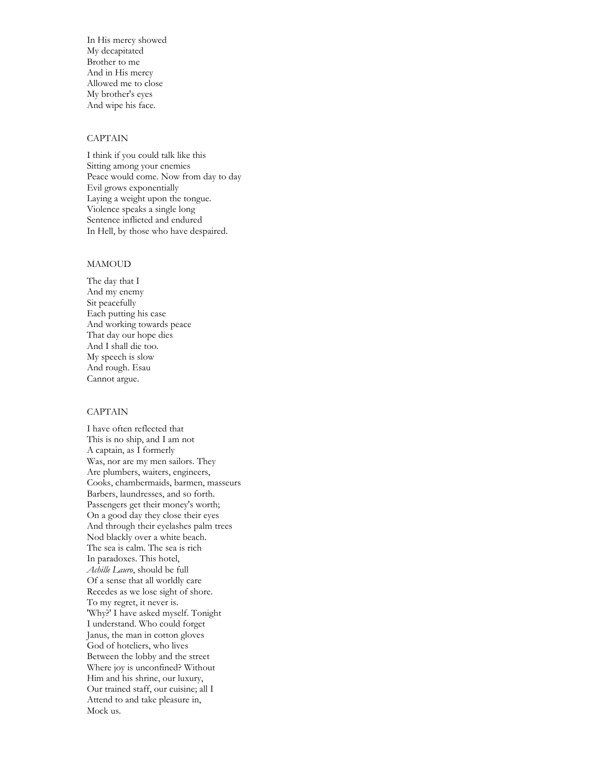In His mercy showed My decapitated Brother to me And in His mercy Allowed me to close My brother's eyes And wipe his face.

# CAPTAIN

I think if you could talk like this Sitting among your enemies Peace would come. Now from day to day Evil grows exponentially Laying a weight upon the tongue. Violence speaks a single long Sentence inflicted and endured In Hell, by those who have despaired.

### MAMOUD

The day that I And my enemy Sit peacefully Each putting his case And working towards peace That day our hope dies And I shall die too. My speech is slow And rough. Esau Cannot argue.

#### CAPTAIN

I have often reflected that This is no ship, and I am not A captain, as I formerly Was, nor are my men sailors. They Are plumbers, waiters, engineers, Cooks, chambermaids, barmen, masseurs Barbers, laundresses, and so forth. Passengers get their money's worth; On a good day they close their eyes And through their eyelashes palm trees Nod blackly over a white beach. The sea is calm. The sea is rich In paradoxes. This hotel, *Achille Lauro*, should be full Of a sense that all worldly care Recedes as we lose sight of shore. To my regret, it never is. 'Why?' I have asked myself. Tonight I understand. Who could forget Janus, the man in cotton gloves God of hoteliers, who lives Between the lobby and the street Where joy is unconfined? Without Him and his shrine, our luxury, Our trained staff, our cuisine; all I Attend to and take pleasure in, Mock us.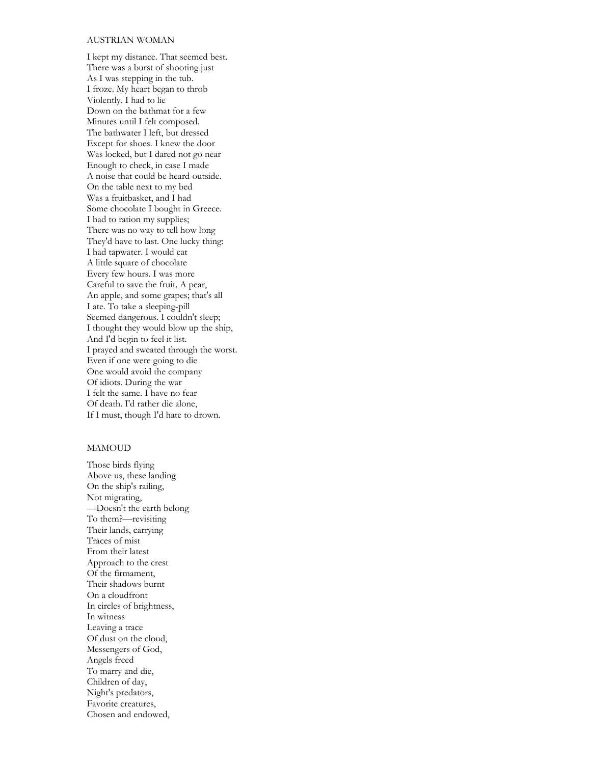### AUSTRIAN WOMAN

I kept my distance. That seemed best. There was a burst of shooting just As I was stepping in the tub. I froze. My heart began to throb Violently. I had to lie Down on the bathmat for a few Minutes until I felt composed. The bathwater I left, but dressed Except for shoes. I knew the door Was locked, but I dared not go near Enough to check, in case I made A noise that could be heard outside. On the table next to my bed Was a fruitbasket, and I had Some chocolate I bought in Greece. I had to ration my supplies; There was no way to tell how long They'd have to last. One lucky thing: I had tapwater. I would eat A little square of chocolate Every few hours. I was more Careful to save the fruit. A pear, An apple, and some grapes; that's all I ate. To take a sleeping-pill Seemed dangerous. I couldn't sleep; I thought they would blow up the ship, And I'd begin to feel it list. I prayed and sweated through the worst. Even if one were going to die One would avoid the company Of idiots. During the war I felt the same. I have no fear Of death. I'd rather die alone, If I must, though I'd hate to drown.

#### **MAMOUD**

Those birds flying Above us, these landing On the ship's railing, Not migrating, —Doesn't the earth belong To them?—revisiting Their lands, carrying Traces of mist From their latest Approach to the crest Of the firmament, Their shadows burnt On a cloudfront In circles of brightness, In witness Leaving a trace Of dust on the cloud, Messengers of God, Angels freed To marry and die, Children of day, Night's predators, Favorite creatures, Chosen and endowed,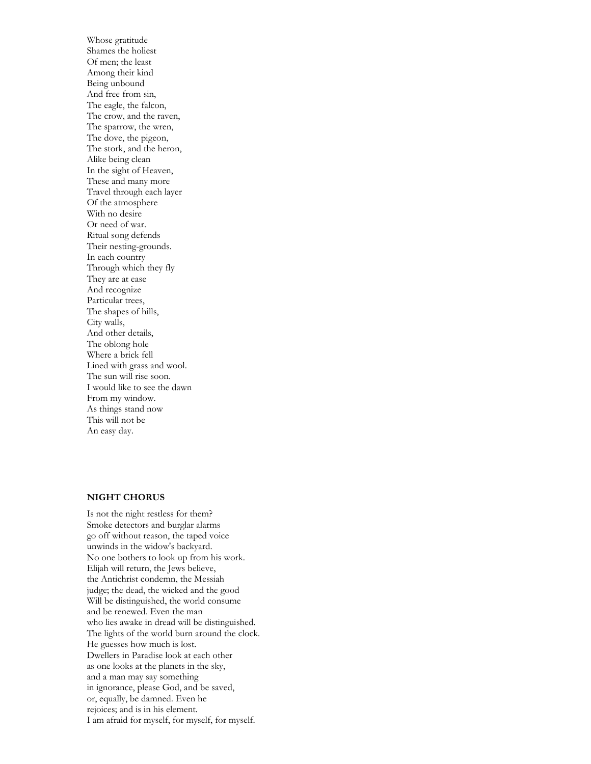Whose gratitude Shames the holiest Of men; the least Among their kind Being unbound And free from sin, The eagle, the falcon, The crow, and the raven, The sparrow, the wren, The dove, the pigeon, The stork, and the heron, Alike being clean In the sight of Heaven, These and many more Travel through each layer Of the atmosphere With no desire Or need of war. Ritual song defends Their nesting-grounds. In each country Through which they fly They are at ease And recognize Particular trees, The shapes of hills, City walls, And other details, The oblong hole Where a brick fell Lined with grass and wool. The sun will rise soon. I would like to see the dawn From my window. As things stand now This will not be An easy day.

### **NIGHT CHORUS**

Is not the night restless for them? Smoke detectors and burglar alarms go off without reason, the taped voice unwinds in the widow's backyard. No one bothers to look up from his work. Elijah will return, the Jews believe, the Antichrist condemn, the Messiah judge; the dead, the wicked and the good Will be distinguished, the world consume and be renewed. Even the man who lies awake in dread will be distinguished. The lights of the world burn around the clock. He guesses how much is lost. Dwellers in Paradise look at each other as one looks at the planets in the sky, and a man may say something in ignorance, please God, and be saved, or, equally, be damned. Even he rejoices; and is in his element. I am afraid for myself, for myself, for myself.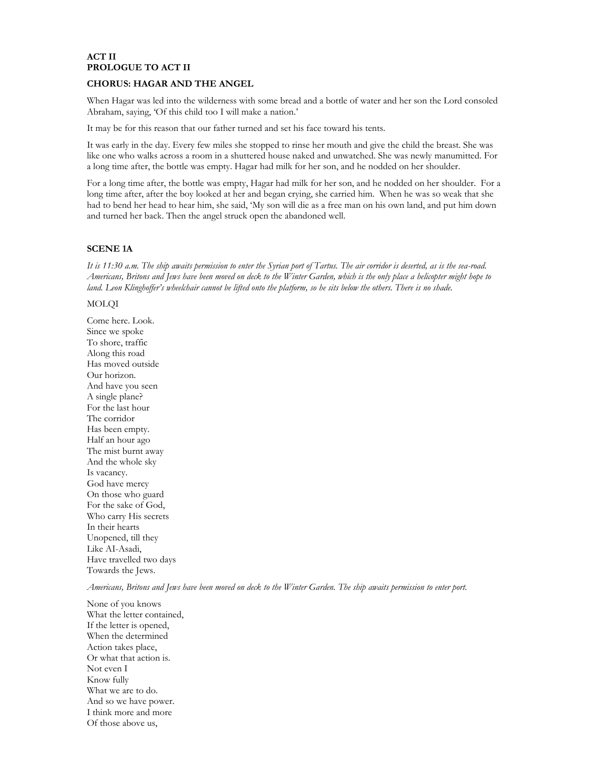# **ACT II PROLOGUE TO ACT II**

### **CHORUS: HAGAR AND THE ANGEL**

When Hagar was led into the wilderness with some bread and a bottle of water and her son the Lord consoled Abraham, saying, 'Of this child too I will make a nation.'

It may be for this reason that our father turned and set his face toward his tents.

It was early in the day. Every few miles she stopped to rinse her mouth and give the child the breast. She was like one who walks across a room in a shuttered house naked and unwatched. She was newly manumitted. For a long time after, the bottle was empty. Hagar had milk for her son, and he nodded on her shoulder.

For a long time after, the bottle was empty, Hagar had milk for her son, and he nodded on her shoulder. For a long time after, after the boy looked at her and began crying, she carried him. When he was so weak that she had to bend her head to hear him, she said, 'My son will die as a free man on his own land, and put him down and turned her back. Then the angel struck open the abandoned well.

## **SCENE 1A**

*It is 11:30 a.m. The ship awaits permission to enter the Syrian port of Tartus. The air corridor is deserted, as is the sea-road. Americans, Britons and Jews have been moved on deck to the Winter Garden, which is the only place a helicopter might hope to land. Leon Klinghoffer's wheelchair cannot be lifted onto the platform, so he sits below the others. There is no shade.*

### MOLQI

Come here. Look. Since we spoke To shore, traffic Along this road Has moved outside Our horizon. And have you seen A single plane? For the last hour The corridor Has been empty. Half an hour ago The mist burnt away And the whole sky Is vacancy. God have mercy On those who guard For the sake of God, Who carry His secrets In their hearts Unopened, till they Like AI-Asadi, Have travelled two days Towards the Jews.

*Americans, Britons and Jews have been moved on deck to the Winter Garden. The ship awaits permission to enter port.*

None of you knows What the letter contained, If the letter is opened, When the determined Action takes place, Or what that action is. Not even I Know fully What we are to do. And so we have power. I think more and more Of those above us,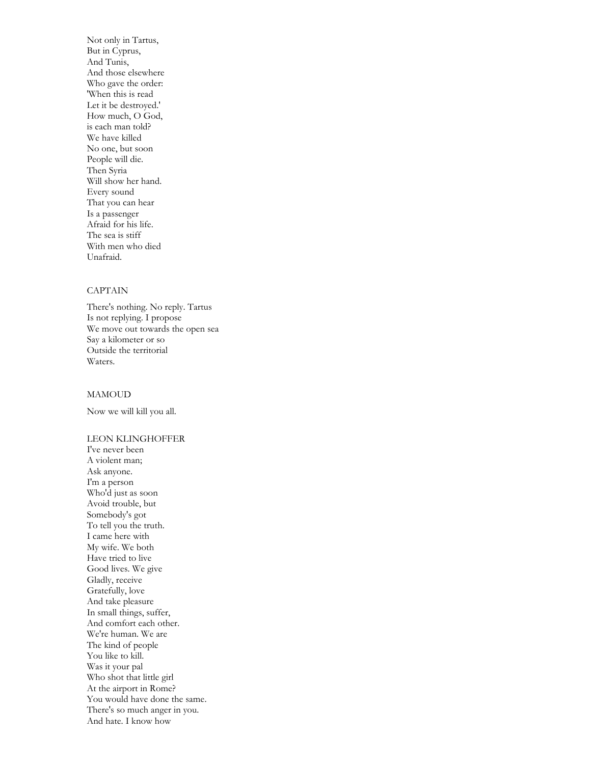Not only in Tartus, But in Cyprus, And Tunis, And those elsewhere Who gave the order: 'When this is read Let it be destroyed.' How much, O God, is each man told? We have killed No one, but soon People will die. Then Syria Will show her hand. Every sound That you can hear Is a passenger Afraid for his life. The sea is stiff With men who died Unafraid.

#### CAPTAIN

There's nothing. No reply. Tartus Is not replying. I propose We move out towards the open sea Say a kilometer or so Outside the territorial Waters.

# MAMOUD

Now we will kill you all.

### LEON KLINGHOFFER

I've never been A violent man; Ask anyone. I'm a person Who'd just as soon Avoid trouble, but Somebody's got To tell you the truth. I came here with My wife. We both Have tried to live Good lives. We give Gladly, receive Gratefully, love And take pleasure In small things, suffer, And comfort each other. We're human. We are The kind of people You like to kill. Was it your pal Who shot that little girl At the airport in Rome? You would have done the same. There's so much anger in you. And hate. I know how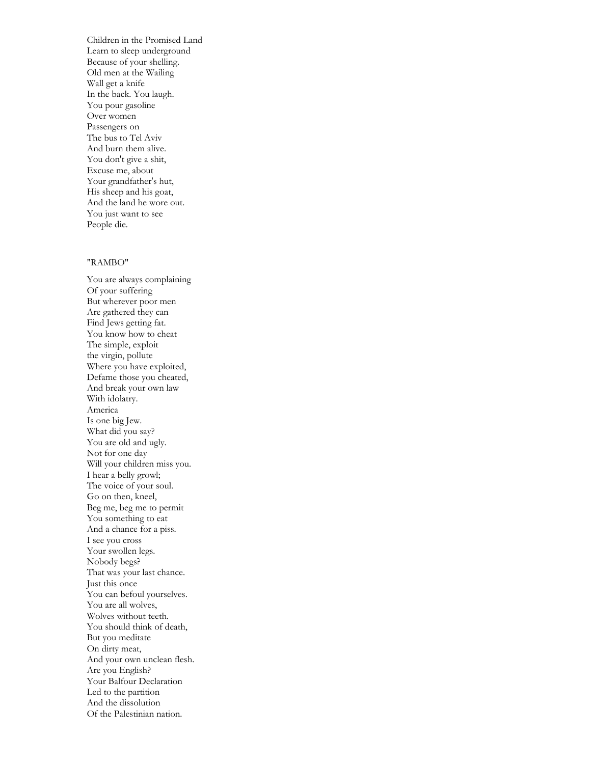Children in the Promised Land Learn to sleep underground Because of your shelling. Old men at the Wailing Wall get a knife In the back. You laugh. You pour gasoline Over women Passengers on The bus to Tel Aviv And burn them alive. You don't give a shit, Excuse me, about Your grandfather's hut, His sheep and his goat, And the land he wore out. You just want to see People die.

#### "RAMBO"

You are always complaining Of your suffering But wherever poor men Are gathered they can Find Jews getting fat. You know how to cheat The simple, exploit the virgin, pollute Where you have exploited, Defame those you cheated, And break your own law With idolatry. America Is one big Jew. What did you say? You are old and ugly. Not for one day Will your children miss you. I hear a belly growl; The voice of your soul. Go on then, kneel, Beg me, beg me to permit You something to eat And a chance for a piss. I see you cross Your swollen legs. Nobody begs? That was your last chance. Just this once You can befoul yourselves. You are all wolves, Wolves without teeth. You should think of death, But you meditate On dirty meat, And your own unclean flesh. Are you English? Your Balfour Declaration Led to the partition And the dissolution Of the Palestinian nation.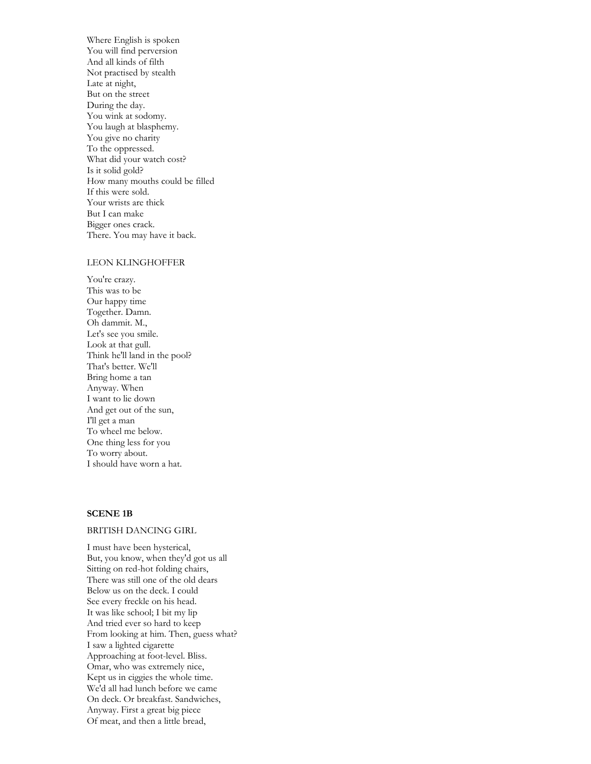Where English is spoken You will find perversion And all kinds of filth Not practised by stealth Late at night, But on the street During the day. You wink at sodomy. You laugh at blasphemy. You give no charity To the oppressed. What did your watch cost? Is it solid gold? How many mouths could be filled If this were sold. Your wrists are thick But I can make Bigger ones crack. There. You may have it back.

### LEON KLINGHOFFER

You're crazy. This was to be Our happy time Together. Damn. Oh dammit. M., Let's see you smile. Look at that gull. Think he'll land in the pool? That's better. We'll Bring home a tan Anyway. When I want to lie down And get out of the sun, I'll get a man To wheel me below. One thing less for you To worry about. I should have worn a hat.

#### **SCENE 1B**

## BRITISH DANCING GIRL

I must have been hysterical, But, you know, when they'd got us all Sitting on red-hot folding chairs, There was still one of the old dears Below us on the deck. I could See every freckle on his head. It was like school; I bit my lip And tried ever so hard to keep From looking at him. Then, guess what? I saw a lighted cigarette Approaching at foot-level. Bliss. Omar, who was extremely nice, Kept us in ciggies the whole time. We'd all had lunch before we came On deck. Or breakfast. Sandwiches, Anyway. First a great big piece Of meat, and then a little bread,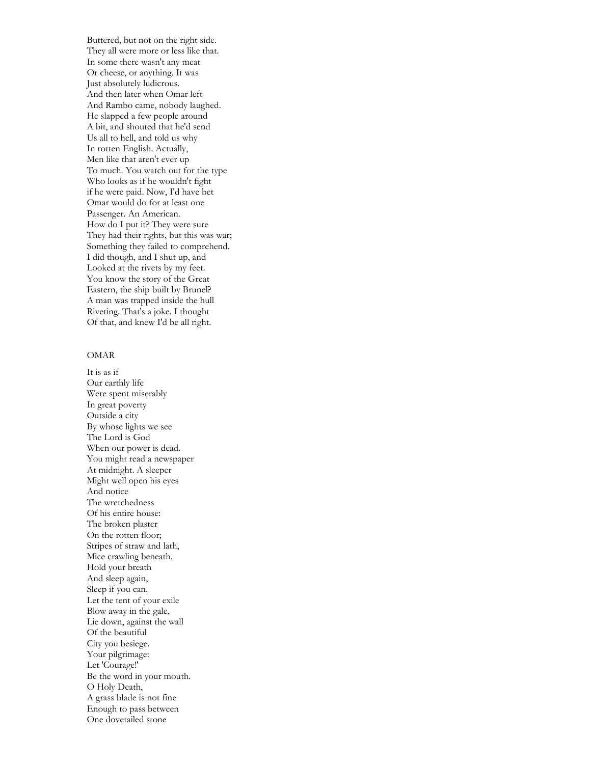Buttered, but not on the right side. They all were more or less like that. In some there wasn't any meat Or cheese, or anything. It was Just absolutely ludicrous. And then later when Omar left And Rambo came, nobody laughed. He slapped a few people around A bit, and shouted that he'd send Us all to hell, and told us why In rotten English. Actually, Men like that aren't ever up To much. You watch out for the type Who looks as if he wouldn't fight if he were paid. Now, I'd have bet Omar would do for at least one Passenger. An American. How do I put it? They were sure They had their rights, but this was war; Something they failed to comprehend. I did though, and I shut up, and Looked at the rivets by my feet. You know the story of the Great Eastern, the ship built by Brunel? A man was trapped inside the hull Riveting. That's a joke. I thought Of that, and knew I'd be all right.

## OMAR

It is as if Our earthly life Were spent miserably In great poverty Outside a city By whose lights we see The Lord is God When our power is dead. You might read a newspaper At midnight. A sleeper Might well open his eyes And notice The wretchedness Of his entire house: The broken plaster On the rotten floor; Stripes of straw and lath, Mice crawling beneath. Hold your breath And sleep again, Sleep if you can. Let the tent of your exile Blow away in the gale, Lie down, against the wall Of the beautiful City you besiege. Your pilgrimage: Let 'Courage!' Be the word in your mouth. O Holy Death, A grass blade is not fine Enough to pass between One dovetailed stone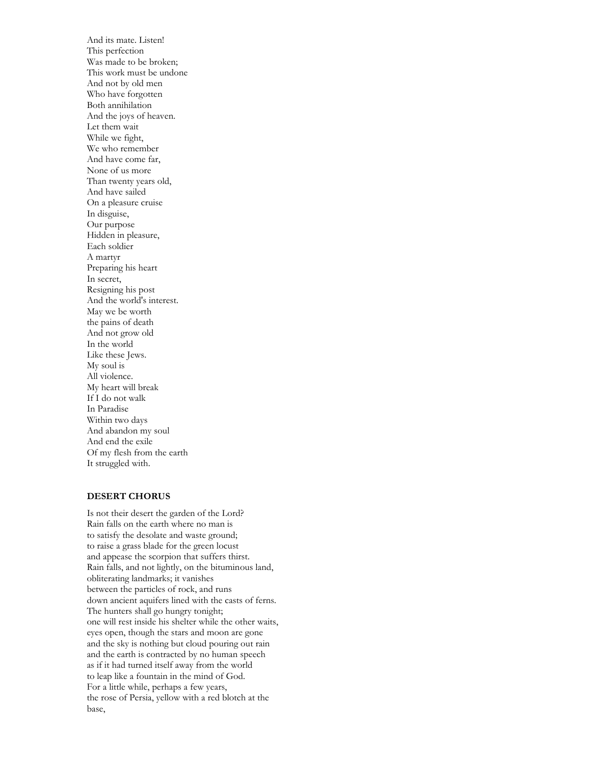And its mate. Listen! This perfection Was made to be broken; This work must be undone And not by old men Who have forgotten Both annihilation And the joys of heaven. Let them wait While we fight, We who remember And have come far, None of us more Than twenty years old, And have sailed On a pleasure cruise In disguise, Our purpose Hidden in pleasure, Each soldier A martyr Preparing his heart In secret, Resigning his post And the world's interest. May we be worth the pains of death And not grow old In the world Like these Jews. My soul is All violence. My heart will break If I do not walk In Paradise Within two days And abandon my soul And end the exile Of my flesh from the earth It struggled with.

### **DESERT CHORUS**

Is not their desert the garden of the Lord? Rain falls on the earth where no man is to satisfy the desolate and waste ground; to raise a grass blade for the green locust and appease the scorpion that suffers thirst. Rain falls, and not lightly, on the bituminous land, obliterating landmarks; it vanishes between the particles of rock, and runs down ancient aquifers lined with the casts of ferns. The hunters shall go hungry tonight; one will rest inside his shelter while the other waits, eyes open, though the stars and moon are gone and the sky is nothing but cloud pouring out rain and the earth is contracted by no human speech as if it had turned itself away from the world to leap like a fountain in the mind of God. For a little while, perhaps a few years, the rose of Persia, yellow with a red blotch at the base,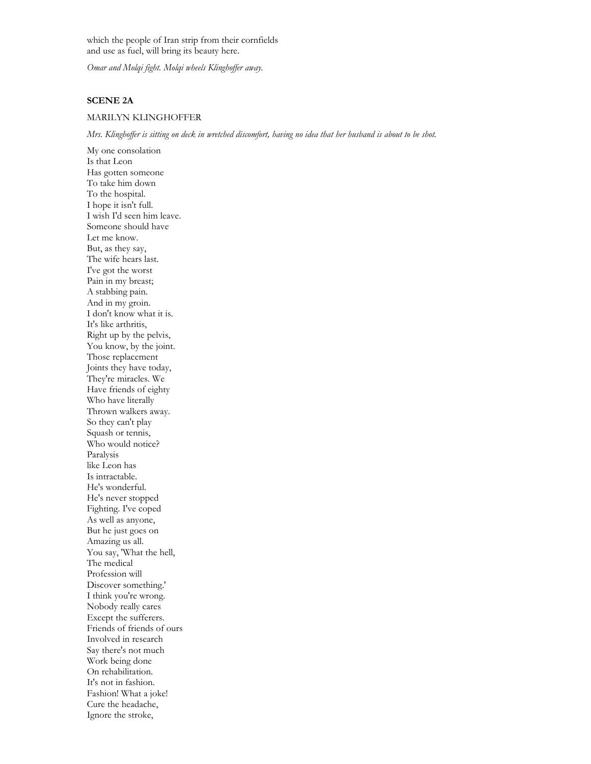which the people of Iran strip from their cornfields and use as fuel, will bring its beauty here.

*Omar and Molqi fight. Molqi wheels Klinghoffer away.*

# **SCENE 2A**

#### MARILYN KLINGHOFFER

*Mrs. Klinghoffer is sitting on deck in wretched discomfort, having no idea that her husband is about to be shot.*

My one consolation Is that Leon Has gotten someone To take him down To the hospital. I hope it isn't full. I wish I'd seen him leave. Someone should have Let me know. But, as they say, The wife hears last. I've got the worst Pain in my breast; A stabbing pain. And in my groin. I don't know what it is. It's like arthritis, Right up by the pelvis, You know, by the joint. Those replacement Joints they have today, They're miracles. We Have friends of eighty Who have literally Thrown walkers away. So they can't play Squash or tennis, Who would notice? Paralysis like Leon has Is intractable. He's wonderful. He's never stopped Fighting. I've coped As well as anyone, But he just goes on Amazing us all. You say, 'What the hell, The medical Profession will Discover something.' I think you're wrong. Nobody really cares Except the sufferers. Friends of friends of ours Involved in research Say there's not much Work being done On rehabilitation. It's not in fashion. Fashion! What a joke! Cure the headache, Ignore the stroke,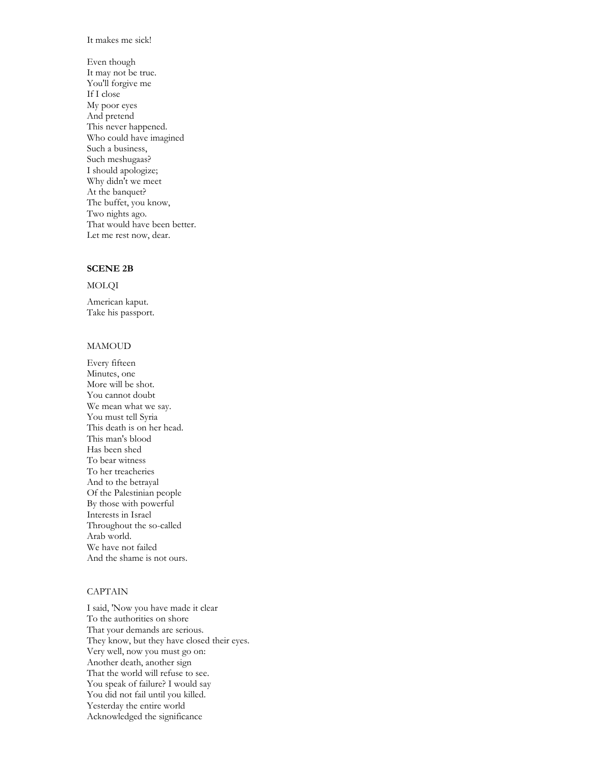### It makes me sick!

Even though It may not be true. You'll forgive me If I close My poor eyes And pretend This never happened. Who could have imagined Such a business, Such meshugaas? I should apologize; Why didn't we meet At the banquet? The buffet, you know, Two nights ago. That would have been better. Let me rest now, dear.

### **SCENE 2B**

#### MOLQI

American kaput. Take his passport.

# MAMOUD

Every fifteen Minutes, one More will be shot. You cannot doubt We mean what we say. You must tell Syria This death is on her head. This man's blood Has been shed To bear witness To her treacheries And to the betrayal Of the Palestinian people By those with powerful Interests in Israel Throughout the so-called Arab world. We have not failed And the shame is not ours.

# CAPTAIN

I said, 'Now you have made it clear To the authorities on shore That your demands are serious. They know, but they have closed their eyes. Very well, now you must go on: Another death, another sign That the world will refuse to see. You speak of failure? I would say You did not fail until you killed. Yesterday the entire world Acknowledged the significance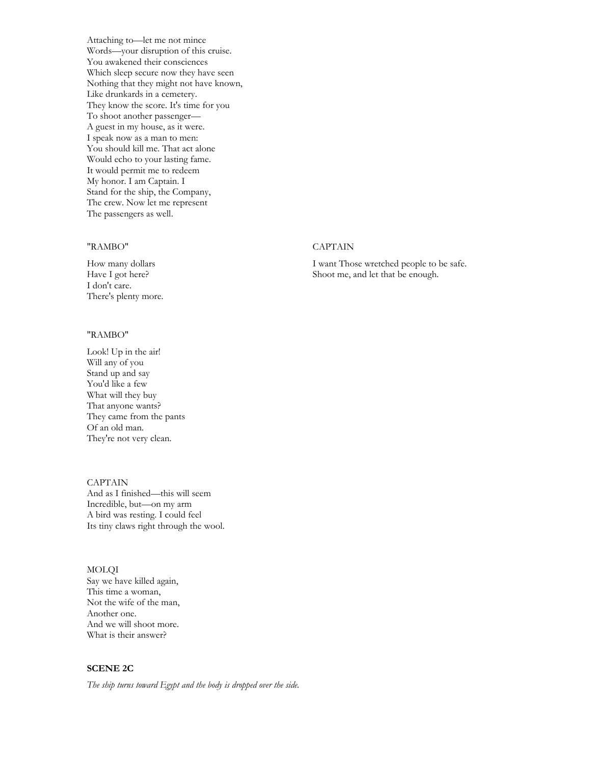Attaching to—let me not mince Words—your disruption of this cruise. You awakened their consciences Which sleep secure now they have seen Nothing that they might not have known, Like drunkards in a cemetery. They know the score. It's time for you To shoot another passenger— A guest in my house, as it were. I speak now as a man to men: You should kill me. That act alone Would echo to your lasting fame. It would permit me to redeem My honor. I am Captain. I Stand for the ship, the Company, The crew. Now let me represent The passengers as well.

#### "RAMBO"

How many dollars Have I got here? I don't care. There's plenty more.

# "RAMBO"

Look! Up in the air! Will any of you Stand up and say You'd like a few What will they buy That anyone wants? They came from the pants Of an old man. They're not very clean.

CAPTAIN And as I finished—this will seem Incredible, but—on my arm A bird was resting. I could feel Its tiny claws right through the wool.

MOLQI Say we have killed again, This time a woman, Not the wife of the man, Another one. And we will shoot more. What is their answer?

## **SCENE 2C**

*The ship turns toward Egypt and the body is dropped over the side.*

### **CAPTAIN**

I want Those wretched people to be safe. Shoot me, and let that be enough.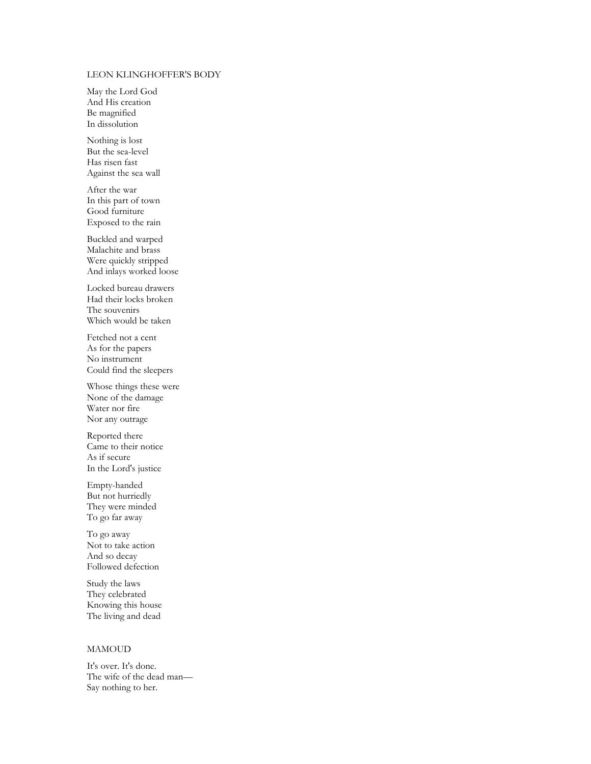# LEON KLINGHOFFER'S BODY

May the Lord God And His creation Be magnified In dissolution

Nothing is lost But the sea-level Has risen fast Against the sea wall

After the war In this part of town Good furniture Exposed to the rain

Buckled and warped Malachite and brass Were quickly stripped And inlays worked loose

Locked bureau drawers Had their locks broken The souvenirs Which would be taken

Fetched not a cent As for the papers No instrument Could find the sleepers

Whose things these were None of the damage Water nor fire Nor any outrage

Reported there Came to their notice As if secure In the Lord's justice

Empty-handed But not hurriedly They were minded To go far away

To go away Not to take action And so decay Followed defection

Study the laws They celebrated Knowing this house The living and dead

## MAMOUD

It's over. It's done. The wife of the dead man— Say nothing to her.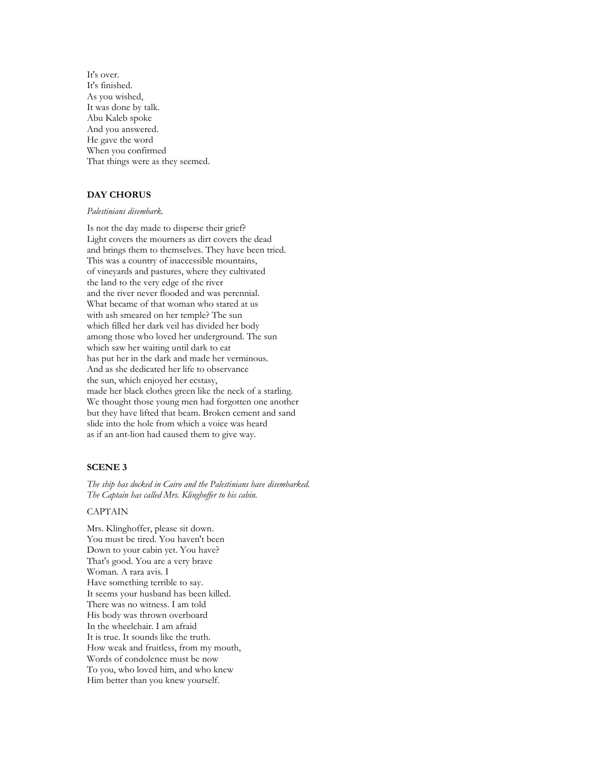It's over. It's finished. As you wished, It was done by talk. Abu Kaleb spoke And you answered. He gave the word When you confirmed That things were as they seemed.

# **DAY CHORUS**

#### *Palestinians disembark.*

Is not the day made to disperse their grief? Light covers the mourners as dirt covers the dead and brings them to themselves. They have been tried. This was a country of inaccessible mountains, of vineyards and pastures, where they cultivated the land to the very edge of the river and the river never flooded and was perennial. What became of that woman who stared at us with ash smeared on her temple? The sun which filled her dark veil has divided her body among those who loved her underground. The sun which saw her waiting until dark to eat has put her in the dark and made her verminous. And as she dedicated her life to observance the sun, which enjoyed her ecstasy, made her black clothes green like the neck of a starling. We thought those young men had forgotten one another but they have lifted that beam. Broken cement and sand slide into the hole from which a voice was heard as if an ant-lion had caused them to give way.

# **SCENE 3**

*The ship has docked in Cairo and the Palestinians have disembarked. The Captain has called Mrs. Klinghoffer to his cabin.*

# CAPTAIN

Mrs. Klinghoffer, please sit down. You must be tired. You haven't been Down to your cabin yet. You have? That's good. You are a very brave Woman. A rara avis. I Have something terrible to say. It seems your husband has been killed. There was no witness. I am told His body was thrown overboard In the wheelchair. I am afraid It is true. It sounds like the truth. How weak and fruitless, from my mouth, Words of condolence must be now To you, who loved him, and who knew Him better than you knew yourself.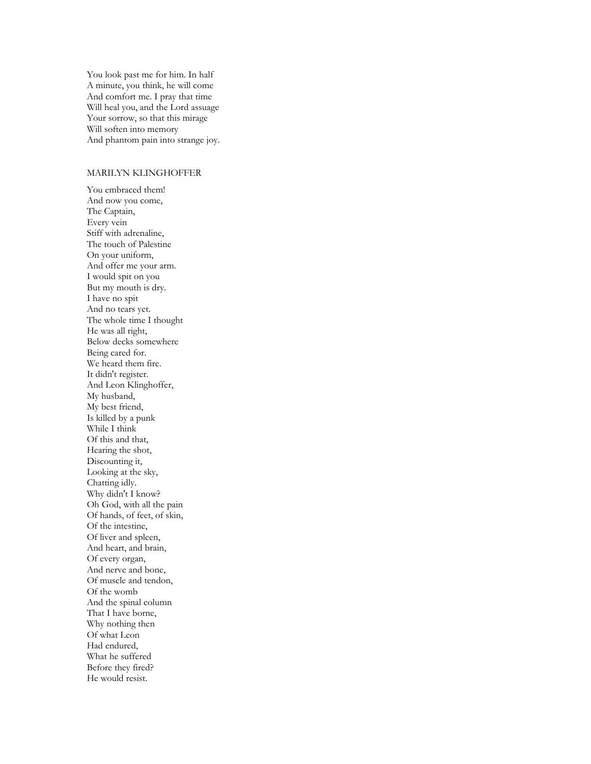You look past me for him. In half A minute, you think, he will come And comfort me. I pray that time Will heal you, and the Lord assuage Your sorrow, so that this mirage Will soften into memory And phantom pain into strange joy.

#### MARILYN KLINGHOFFER

You embraced them! And now you come, The Captain, Every vein Stiff with adrenaline, The touch of Palestine On your uniform, And offer me your arm. I would spit on you But my mouth is dry. I have no spit And no tears yet. The whole time I thought He was all right, Below decks somewhere Being cared for. We heard them fire. It didn't register. And Leon Klinghoffer, My husband, My best friend, Is killed by a punk While I think Of this and that, Hearing the shot, Discounting it, Looking at the sky, Chatting idly. Why didn't I know? Oh God, with all the pain Of hands, of feet, of skin, Of the intestine, Of liver and spleen, And heart, and brain, Of every organ, And nerve and bone, Of muscle and tendon, Of the womb And the spinal column That I have borne, Why nothing then Of what Leon Had endured, What he suffered Before they fired? He would resist.